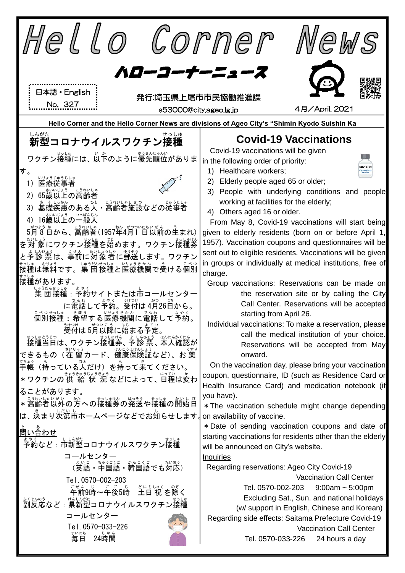| Hello Corner                                                                                                                                                                                                                                                                                                                                                                                                                                                                                                                                                                                                                                                                                                                                                                                                                                                              | VeWS                                                                                                                                                                                                                                                                                                                                                                                                                                                                                                                                                                                                                                                                                                                                                                                                                                                                                                                                                                                                                                                                                                                                                                                                                                                                                                                                                                                                                                                                                                                                                                                                                                                                                                                                                                                                                |
|---------------------------------------------------------------------------------------------------------------------------------------------------------------------------------------------------------------------------------------------------------------------------------------------------------------------------------------------------------------------------------------------------------------------------------------------------------------------------------------------------------------------------------------------------------------------------------------------------------------------------------------------------------------------------------------------------------------------------------------------------------------------------------------------------------------------------------------------------------------------------|---------------------------------------------------------------------------------------------------------------------------------------------------------------------------------------------------------------------------------------------------------------------------------------------------------------------------------------------------------------------------------------------------------------------------------------------------------------------------------------------------------------------------------------------------------------------------------------------------------------------------------------------------------------------------------------------------------------------------------------------------------------------------------------------------------------------------------------------------------------------------------------------------------------------------------------------------------------------------------------------------------------------------------------------------------------------------------------------------------------------------------------------------------------------------------------------------------------------------------------------------------------------------------------------------------------------------------------------------------------------------------------------------------------------------------------------------------------------------------------------------------------------------------------------------------------------------------------------------------------------------------------------------------------------------------------------------------------------------------------------------------------------------------------------------------------------|
| ハローコーナーニュース<br>日本語 · English<br>発行:埼玉県上尾市市民協働推進課<br>No. 327<br>s53000@city.ageo.lg.jp                                                                                                                                                                                                                                                                                                                                                                                                                                                                                                                                                                                                                                                                                                                                                                                     | 4月/April. 2021                                                                                                                                                                                                                                                                                                                                                                                                                                                                                                                                                                                                                                                                                                                                                                                                                                                                                                                                                                                                                                                                                                                                                                                                                                                                                                                                                                                                                                                                                                                                                                                                                                                                                                                                                                                                      |
| しんがた<br>せっしゅ<br>新型コロナウイルスワクチン接種<br>ワクチン接種には、以かのように優先順位がありま<br>す。<br>いりょうじゅうじしゃ<br>$\left( \begin{matrix} 1 \end{matrix} \right)$<br>医瘠従事者<br>いいじょう こうれいしゃ<br>2) 65歳以上の高齢者<br>まそい <sub>かん</sub><br>基礎疾患のある人・高齢者施設などの従事者<br>16歳以上の一般人<br>5月8日から、高齢者(1957年4月1日以前の生まれ)<br>を対 象にワクチン接種を始めます。ワクチン接種券<br>と予診 票は、事前に対象者に郵送します。 ワクチン<br>」。<br>接種は無料です。集 団接種と医療機関で受ける個別<br>接種があります。<br><b>っうだんせっしゅ</b><br>集 団 接種:予約サイトまたは市コールセンター<br>に電話して <sup>を</sup> 約。受付は 4月26日から。<br>設計 約55.5万 誌 まる予定。<br>接種当日は、ワクチン接種券、予診 票、本人確認が<br>ーーー<br>できるもの(在 留カード、健康保険証など)、お 薬<br>〔手・〔持っている】(だけ)を持って来てください。<br>・ r.<br>*ワクチンの 供 給 状 況などによって、日程は変わ<br>ることがあります。<br>゠ <sub>゠ぅゎぃしゃぃ</sub> ؞؞<br>*高齢者以外の方への接種券の発送や接種の開始日<br>は、 決まり次第市ホームページなどでお知らせします。<br>。<br>予約など : 市新型コロナウイルスワクチン接種<br>コールセンター<br>(英語・部言注・禁国語でも対応)<br>Tel. 0570-002-203<br>年前9時~年後5時 生日祝を除く<br>、<br>副反応など : 県新型コロナウイルスワクチン接種<br>コールセンター | Hello Corner and the Hello Corner News are divisions of Ageo City's "Shimin Kyodo Suishin Ka<br><b>Covid-19 Vaccinations</b><br>Covid-19 vaccinations will be given<br>in the following order of priority:<br>COVID-19<br>1) Healthcare workers;<br>2) Elderly people aged 65 or older;<br>3) People with underlying conditions and people<br>working at facilities for the elderly;<br>4) Others aged 16 or older.<br>From May 8, Covid-19 vaccinations will start being<br>given to elderly residents (born on or before April 1,<br>1957). Vaccination coupons and questionnaires will be<br>sent out to eligible residents. Vaccinations will be given<br>in groups or individually at medical institutions, free of<br>charge.<br>Group vaccinations: Reservations can be made on<br>the reservation site or by calling the City<br>Call Center. Reservations will be accepted<br>starting from April 26.<br>Individual vaccinations: To make a reservation, please<br>call the medical institution of your choice.<br>Reservations will be accepted from May<br>onward.<br>On the vaccination day, please bring your vaccination<br>coupon, questionnaire, ID (such as Residence Card or<br>Health Insurance Card) and medication notebook (if<br>you have).<br>* The vaccination schedule might change depending<br>on availability of vaccine.<br>* Date of sending vaccination coupons and date of<br>starting vaccinations for residents other than the elderly<br>will be announced on City's website.<br><b>Inquiries</b><br>Regarding reservations: Ageo City Covid-19<br><b>Vaccination Call Center</b><br>Tel. 0570-002-203 9:00am $\sim$ 5:00pm<br>Excluding Sat., Sun. and national holidays<br>(w/ support in English, Chinese and Korean)<br>Regarding side effects: Saitama Prefecture Covid-19 |
| Tel. 0570-033-226<br>まいにち<br>24時間<br>毎日                                                                                                                                                                                                                                                                                                                                                                                                                                                                                                                                                                                                                                                                                                                                                                                                                                   | <b>Vaccination Call Center</b><br>Tel. 0570-033-226<br>24 hours a day                                                                                                                                                                                                                                                                                                                                                                                                                                                                                                                                                                                                                                                                                                                                                                                                                                                                                                                                                                                                                                                                                                                                                                                                                                                                                                                                                                                                                                                                                                                                                                                                                                                                                                                                               |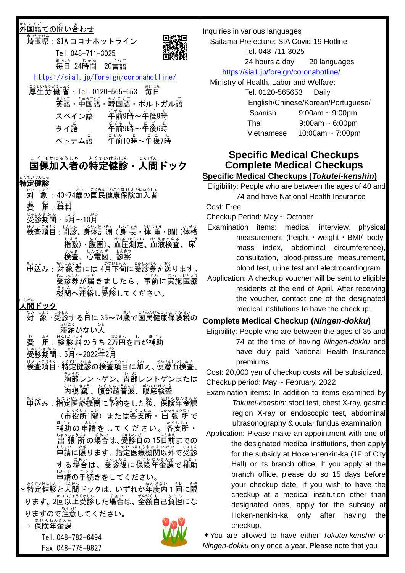|                                                                                                     | Inquiries in various languages                                                                           |
|-----------------------------------------------------------------------------------------------------|----------------------------------------------------------------------------------------------------------|
| さいたまけん<br>埼玉県: SIA コロナホットライン                                                                        | Saitama Prefecture: SIA Covid-19 Hotline                                                                 |
| Tel. 048-711-3025                                                                                   | Tel. 048-711-3025                                                                                        |
| まいにち じかん<br>毎日 24時間<br>$20 \overline{\overline{\overline{\overline{\overline{\overline{B}}}}}}$ 語   | 24 hours a day<br>20 languages                                                                           |
| https://sia1.jp/foreign/coronahotline/                                                              | https://sia1.jp/foreign/coronahotline/                                                                   |
| <sup>Ξϡቂぃӽぅ</sup> ξϡͿͺ <sub>ͺ</sub> ӻぅ<br>厚生労働省:Tel.0120-565-653<br><sub>まいにち</sub><br>毎日           | Ministry of Health, Labor and Welfare:<br>Tel. 0120-565653<br>Daily                                      |
| <b>英語・部富語・韓国語・ポルトガル語</b>                                                                            | English/Chinese/Korean/Portuguese/                                                                       |
| 车前9時~车後9時<br>スペイン語                                                                                  | $9:00$ am ~ $9:00$ pm<br>Spanish                                                                         |
| 车前9時~午後6時<br>タイ語                                                                                    | $9:00$ am ~ 6:00pm<br>Thai                                                                               |
| ベトナム語                                                                                               | 10:00am $\sim$ 7:00pm<br>Vietnamese                                                                      |
|                                                                                                     |                                                                                                          |
| こくほかにゅうしゃ とくていけんしん にんげん<br><b>国保加入者の特定健診・人間ドック</b>                                                  | <b>Specific Medical Checkups</b>                                                                         |
|                                                                                                     | <b>Complete Medical Checkups</b><br><b>Specific Medical Checkups (Tokutei-kenshin)</b>                   |
| とくていけんしん<br><b>特定健診</b>                                                                             | Eligibility: People who are between the ages of 40 and                                                   |
| <sub>は</sub> ぅ<br>象 :40~74歳の国民健康保険加入者<br>たい しょう<br>対                                                | 74 and have National Health Insurance                                                                    |
| おりょう<br>用                                                                                           | Cost: Free                                                                                               |
| <u>。。。。。。。。</u><br>診期間:5月~10月                                                                       | Checkup Period: May ~ October                                                                            |
| しんたいけいそく しんちょう<br>たいかく<br>サ <sup>ん</sup> きニラもく<br><b>検査項目:</b><br>たいじゅう<br>問診、身体計測 (身 長・体 重・BMI (体格 | Examination items: medical<br>interview,<br>physical                                                     |
| ・凝固)、血圧測定、血液検査、尿<br>にょう                                                                             | measurement (height · weight · BMI/ body-<br>mass index, abdominal circumference),                       |
| しんでんず<br>心電図、                                                                                       | consultation, blood-pressure measurement,                                                                |
| もっに、、ないようしゃ。<br>申込み:対象者には 4月下旬に受診券を送ります。                                                            | blood test, urine test and electrocardiogram                                                             |
| じゃいか。<br>受診券が届きましたら、事前に実施医療                                                                         | Application: A checkup voucher will be sent to eligible                                                  |
| まかん れんらく じゅしん<br>機関へ連絡し受診してください。                                                                    | residents at the end of April. After receiving                                                           |
| こんげん<br>、間ドック                                                                                       | the voucher, contact one of the designated<br>medical institutions to have the checkup.                  |
| じゅしん<br>しょう<br>さい こくみんけんこうほけんぜい<br><sup>"</sup> 象 : 受診する白に 35~74歳で国民健康保険税の                          |                                                                                                          |
| たいのう<br>ひと<br>滞納がない人                                                                                | <u>Complete Medical Checkup (Ningen-dokku)</u><br>Eligibility: People who are between the ages of 35 and |
| <sub>はしんりょう</sub><br>検診料のうち 2万円を市が補助<br>用:                                                          | 74 at the time of having Ningen-dokku and                                                                |
| じゅしんき か ん<br>ねん がつ<br>受診期間:5月~2022年2月                                                               | have duly paid National Health Insurance                                                                 |
| はんきこうもく、とくひけんしん。けんきこうもく (*)<br>検査項目 : 特定健診の検査項目に加え、便潜血検査、                                           | premiums                                                                                                 |
| <u>。。。</u><br>胸部レントゲン、 曽部レントゲンまたは                                                                   | Cost: 20,000 yen of checkup costs will be subsidized.                                                    |
|                                                                                                     | Checkup period: May ~ February, 2022<br>Examination items: In addition to items examined by              |
| していいょうきゕん<br>指定医療機関に予約をした後、<br>もうしこ<br>ほけんねんきんか<br>保険年金課<br>申込み:                                    | Tokutei-kenshin: stool test, chest X-ray, gastric                                                        |
| (市役所1階) または各支所・出 張 所で                                                                               | region X-ray or endoscopic test, abdominal                                                               |
| <sub>ほじ。</sub><br>補助の申請をしてください。各支所・                                                                 | ultrasonography & ocular fundus examination                                                              |
| いった。<br>出 張 所 の場合は、受診日の 15日前までの                                                                     | Application: Please make an appointment with one of                                                      |
| 「作説に"の、<br>中請に限ります。指定医療機関以外で受診<br>じゅしん                                                              | the designated medical institutions, then apply<br>for the subsidy at Hoken-nenkin-ka (1F of City        |
| する場合は、受診後に保険年金課で補助                                                                                  | Hall) or its branch office. If you apply at the                                                          |
| 申請の手続きをしてください。                                                                                      | branch office, please do so 15 days before                                                               |
| * 特定健診と人間ドックは、いずれか年度内 1 回に隠                                                                         | your checkup date. If you wish to have the                                                               |
| ります。2回以上受診した場合は、全額自己負担にな                                                                            | checkup at a medical institution other than                                                              |
| りますので注意してください。                                                                                      | designated ones, apply for the subsidy at                                                                |
| ませんねんきんか<br><b>保険年金課</b>                                                                            | Hoken-nenkin-ka<br>only<br>after<br>having<br>the<br>checkup.                                            |
| Tel. 048-782-6494                                                                                   | * You are allowed to have either Tokutei-kenshin or                                                      |
| Fax 048-775-9827                                                                                    | Ningen-dokku only once a year. Please note that you                                                      |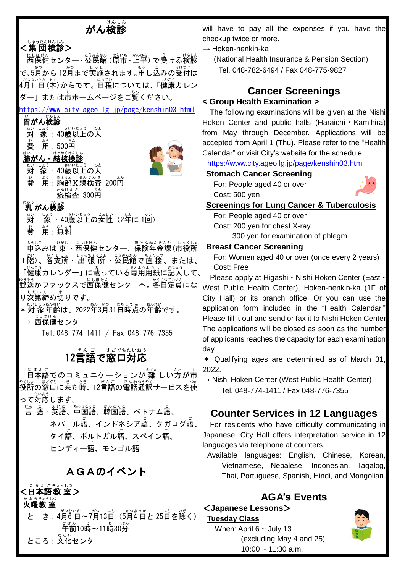| けんしん<br>がん検診                                                      | will have to pay all the expenses if you have the                                                                  |
|-------------------------------------------------------------------|--------------------------------------------------------------------------------------------------------------------|
| 、 。。。。。。。。。<br><b>&lt;集 団検診&gt;</b>                               | checkup twice or more.                                                                                             |
| にしまける<br>西保健センター・公民館 (原市・上平) で受ける検診                               | $\rightarrow$ Hoken-nenkin-ka<br>(National Health Insurance & Pension Section)                                     |
| で、5月から 12月まで実施されます。゙゙゙゙゙ <sup>ぉ゙゚</sup> し込みの受付は                   | Tel. 048-782-6494 / Fax 048-775-9827                                                                               |
| ∥*♡ついたも もく<br> 4月1 日 (木) からです。日程については、「健康カレン                      |                                                                                                                    |
| ダー」または市ホームページをご覧ください。                                             | <b>Cancer Screenings</b>                                                                                           |
| https://www.city.ageo.lg.jp/page/kenshin03.html                   | < Group Health Examination >                                                                                       |
| 胃がん検診                                                             | The following examinations will be given at the Nishi<br>Hoken Center and public halls (Haraichi $\cdot$ Kamihira) |
| さいいじょう ひと<br>しょう<br>たい<br>対 象:40歳以上の人                             | from May through December. Applications will be                                                                    |
| よう<br>用:500円<br>費                                                 | accepted from April 1 (Thu). Please refer to the "Health                                                           |
| 肺がん・結核検診                                                          | Calendar" or visit City's website for the schedule.                                                                |
| しょう<br>ひと                                                         | https://www.city.ageo.lg.jp/page/kenshin03.html                                                                    |
| 対 象:40歳以上の人<br>た<br>用:胸部 X線検査 200円<br>。<br>費                      | <b>Stomach Cancer Screening</b>                                                                                    |
| たんけんき<br>痰検査 300円                                                 | For: People aged 40 or over<br>Cost: 500 yen                                                                       |
| けんしん<br>にゅう                                                       | <b>Screenings for Lung Cancer &amp; Tuberculosis</b>                                                               |
| <u>乳 がん検診</u><br>さいいじょう<br>じょせい<br>しょう<br>たい<br>ねん                | For: People aged 40 or over                                                                                        |
| 対<br>象: 40歳以上の女性 (2年に1回)<br>よう<br>むりょ                             | Cost: 200 yen for chest X-ray                                                                                      |
| 費<br>用:無料                                                         | 300 yen for examination of phlegm                                                                                  |
| ひがし<br>にしほけん<br>もうしこ<br>ほけんねんきんか<br>申込みは 東 ・西保健センター、保険年金課(市役所     | <b>Breast Cancer Screening</b>                                                                                     |
| または、                                                              | For: Women aged 40 or over (once every 2 years)<br>Cost: Free                                                      |
| せんようよう<br>「健康カレンダー」に載っている専用用紙に記入して、                               | Please apply at Higashi • Nishi Hoken Center (East •                                                               |
| ゅっ <sub>そう</sub><br>郵送かファックスで西保健センターへ。各日定員にな                      | West Public Health Center), Hoken-nenkin-ka (1F of                                                                 |
| り次第締め切りです。                                                        | City Hall) or its branch office. Or you can use the                                                                |
| *:\\__;ぅ#^#\\<br>*対 象年齢は、2022年3月31日時点の年齢です。                       | application form included in the "Health Calendar."                                                                |
| <u>にしほけん</u><br>西保健センター                                           | Please fill it out and send or fax it to Nishi Hoken Center                                                        |
| Tel. 048-774-1411 / Fax 048-776-7355                              | The applications will be closed as soon as the number<br>of applicants reaches the capacity for each examination   |
|                                                                   | day.                                                                                                               |
| $12$ 言語で窓口対応                                                      | * Qualifying ages are determined as of March 31,                                                                   |
| ロ本語でのコミュニケーションが 難 しい方が市                                           | 2022.                                                                                                              |
| <sup>殺</sup> 所の窓口に来た嵵、12言語の電話通訳サービスを使                             | $\rightarrow$ Nishi Hoken Center (West Public Health Center)                                                       |
| って対応します。                                                          | Tel. 048-774-1411 / Fax 048-776-7355                                                                               |
|                                                                   |                                                                                                                    |
| ネパール語、インドネシア語、タガログ語、                                              | <b>Counter Services in 12 Languages</b><br>For residents who have difficulty communicating in                      |
| タイ語、ポルトガル語、スペイン語、                                                 | Japanese, City Hall offers interpretation service in 12                                                            |
| ヒンディー語、モンゴル語                                                      | languages via telephone at counters.                                                                               |
|                                                                   | Available languages: English, Chinese, Korean,                                                                     |
| AGAのイベント                                                          | Vietnamese, Nepalese, Indonesian,<br>Tagalog,<br>Thai, Portuguese, Spanish, Hindi, and Mongolian.                  |
| ん ごきょうしつ<br>語教 室>                                                 |                                                                                                                    |
| 曜教 宰                                                              | <b>AGA's Events</b>                                                                                                |
| —— * <sup>s∌</sup> * <sup>s</sup> * *^* ~~ *^? 13日 (5月4日と 25日を除く) | <japanese lessons=""></japanese>                                                                                   |
|                                                                   | <b>Tuesday Class</b><br>When: April $6 \sim$ July 13                                                               |
| <u>ころ・文化センター</u>                                                  | (excluding May 4 and 25)                                                                                           |

10:00 ~ 11:30 a.m.

ところ : 文化センター